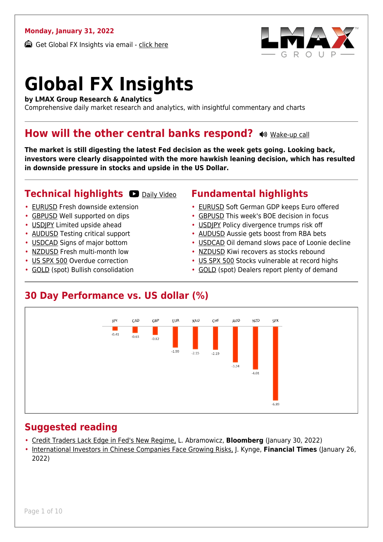#### **Monday, January 31, 2022**

Get Global FX Insights via email - [click here](https://www.lmax.com/blog/global-fx-insights/sign-up/?src=gfxipdf)



# **Global FX Insights**

**by LMAX Group Research & Analytics**

Comprehensive daily market research and analytics, with insightful commentary and charts

#### **How will the other central banks respond?**  $\bullet$  **[Wake-up call](https://www.lmax.com/blog/global-fx-insights/2022/01/31/how-will-the-other-central-banks-respond/?utm_source=GlobalFXInsights-Newsletter&utm_medium=Email&utm_campaign=GlobalFXInsights&audio=play#wakeup-52559)**

**The market is still digesting the latest Fed decision as the week gets going. Looking back, investors were clearly disappointed with the more hawkish leaning decision, which has resulted in downside pressure in stocks and upside in the US Dollar.**

#### **Technical highlights O [Daily Video](https://www.lmax.com/blog/global-fx-insights/2022/01/31/how-will-the-other-central-banks-respond/?utm_source=GlobalFXInsights-Newsletter&utm_medium=Email&utm_campaign=GlobalFXInsights&popup=watch#charttalk-52559)**

- [EURUSD](#page-1-0) Fresh downside extension
- [GBPUSD](#page-2-0) Well supported on dips
- [USDJPY](#page-3-0) Limited upside ahead
- [AUDUSD](#page-4-0) Testing critical support
- [USDCAD](#page-5-0) Signs of major bottom
- [NZDUSD](#page-6-0) Fresh multi-month low
- [US SPX 500](#page-7-0) Overdue correction
- [GOLD](#page-8-0) (spot) Bullish consolidation

#### **Fundamental highlights**

- [EURUSD](#page-1-1) Soft German GDP keeps Euro offered
- [GBPUSD](#page-2-1) This week's BOE decision in focus
- [USDJPY](#page-3-1) Policy divergence trumps risk off
- [AUDUSD](#page-4-1) Aussie gets boost from RBA bets
- [USDCAD](#page-5-1) Oil demand slows pace of Loonie decline
- [NZDUSD](#page-6-1) Kiwi recovers as stocks rebound
- [US SPX 500](#page-7-1) Stocks vulnerable at record highs
- [GOLD](#page-8-1) (spot) Dealers report plenty of demand

#### **30 Day Performance vs. US dollar (%)**



#### **Suggested reading**

- [Credit Traders Lack Edge in Fed's New Regime,](https://www.lmax.com/blog/global-fx-insights/2022/01/31/how-will-the-other-central-banks-respond/?read=https://www.bloomberg.com/opinion/articles/2022-01-30/credit-traders-lack-edge-in-fed-s-new-regime?srnd=opinion-markets) L. Abramowicz, **Bloomberg** (January 30, 2022)
- [International Investors in Chinese Companies Face Growing Risks,](https://www.lmax.com/blog/global-fx-insights/2022/01/31/how-will-the-other-central-banks-respond/?read=https://www.ft.com/video/4bcf73fe-0046-4e98-b8b6-c5f976d21820?playlist-name=latest&playlist-offset=0) J. Kynge, **Financial Times** (January 26, 2022)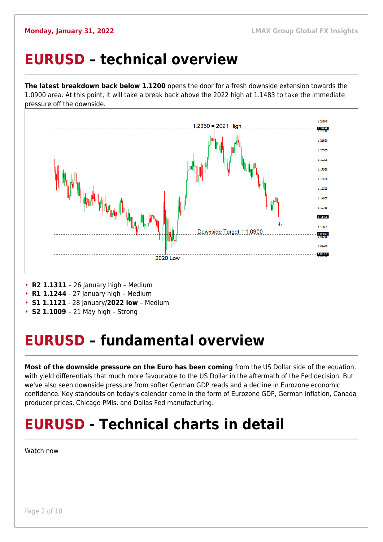#### <span id="page-1-0"></span>**EURUSD – technical overview**

**The latest breakdown back below 1.1200** opens the door for a fresh downside extension towards the 1.0900 area. At this point, it will take a break back above the 2022 high at 1.1483 to take the immediate pressure off the downside.



- **R2 1.1311**  26 January high Medium
- **R1 1.1244**  27 January high Medium
- **S1 1.1121**  28 January/**2022 low** Medium
- **S2 1.1009**  21 May high Strong

### <span id="page-1-1"></span>**EURUSD – fundamental overview**

**Most of the downside pressure on the Euro has been coming** from the US Dollar side of the equation, with yield differentials that much more favourable to the US Dollar in the aftermath of the Fed decision. But we've also seen downside pressure from softer German GDP reads and a decline in Eurozone economic confidence. Key standouts on today's calendar come in the form of Eurozone GDP, German inflation, Canada producer prices, Chicago PMIs, and Dallas Fed manufacturing.

## **EURUSD - Technical charts in detail**

#### [Watch now](https://youtu.be/I4jItPgTlpE)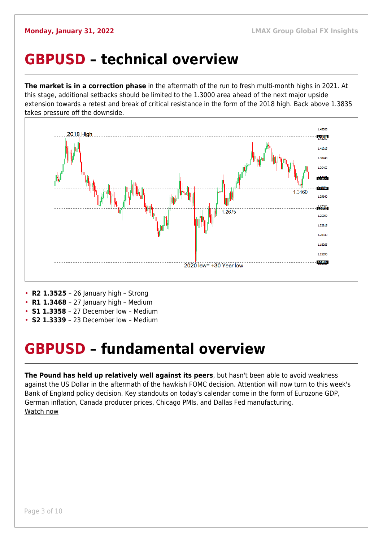### <span id="page-2-0"></span>**GBPUSD – technical overview**

**The market is in a correction phase** in the aftermath of the run to fresh multi-month highs in 2021. At this stage, additional setbacks should be limited to the 1.3000 area ahead of the next major upside extension towards a retest and break of critical resistance in the form of the 2018 high. Back above 1.3835 takes pressure off the downside.



- **R2 1.3525**  26 January high Strong
- **R1 1.3468**  27 January high Medium
- **S1 1.3358**  27 December low Medium
- **S2 1.3339**  23 December low Medium

## <span id="page-2-1"></span>**GBPUSD – fundamental overview**

**The Pound has held up relatively well against its peers**, but hasn't been able to avoid weakness against the US Dollar in the aftermath of the hawkish FOMC decision. Attention will now turn to this week's Bank of England policy decision. Key standouts on today's calendar come in the form of Eurozone GDP, German inflation, Canada producer prices, Chicago PMIs, and Dallas Fed manufacturing. [Watch now](https://youtu.be/lfyirzbzejM)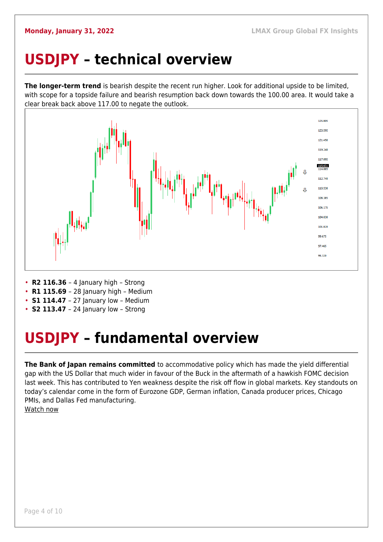## <span id="page-3-0"></span>**USDJPY – technical overview**

**The longer-term trend** is bearish despite the recent run higher. Look for additional upside to be limited, with scope for a topside failure and bearish resumption back down towards the 100.00 area. It would take a clear break back above 117.00 to negate the outlook.



- **R2 116.36**  4 January high Strong
- **R1 115.69**  28 January high Medium
- **S1 114.47** 27 January low Medium
- **S2 113.47**  24 January low Strong

## <span id="page-3-1"></span>**USDJPY – fundamental overview**

**The Bank of Japan remains committed** to accommodative policy which has made the vield differential gap with the US Dollar that much wider in favour of the Buck in the aftermath of a hawkish FOMC decision last week. This has contributed to Yen weakness despite the risk off flow in global markets. Key standouts on today's calendar come in the form of Eurozone GDP, German inflation, Canada producer prices, Chicago PMIs, and Dallas Fed manufacturing.

[Watch now](https://youtu.be/Oile_pDWY24)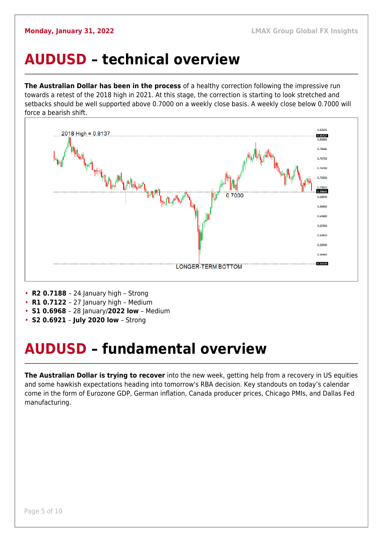### <span id="page-4-0"></span>**AUDUSD – technical overview**

**The Australian Dollar has been in the process** of a healthy correction following the impressive run towards a retest of the 2018 high in 2021. At this stage, the correction is starting to look stretched and setbacks should be well supported above 0.7000 on a weekly close basis. A weekly close below 0.7000 will force a bearish shift.



- **R2 0.7188**  24 January high Strong
- **R1 0.7122**  27 January high Medium
- **S1 0.6968**  28 January/**2022 low** Medium
- **S2 0.6921 July 2020 low** Strong

## <span id="page-4-1"></span>**AUDUSD – fundamental overview**

**The Australian Dollar is trying to recover** into the new week, getting help from a recovery in US equities and some hawkish expectations heading into tomorrow's RBA decision. Key standouts on today's calendar come in the form of Eurozone GDP, German inflation, Canada producer prices, Chicago PMIs, and Dallas Fed manufacturing.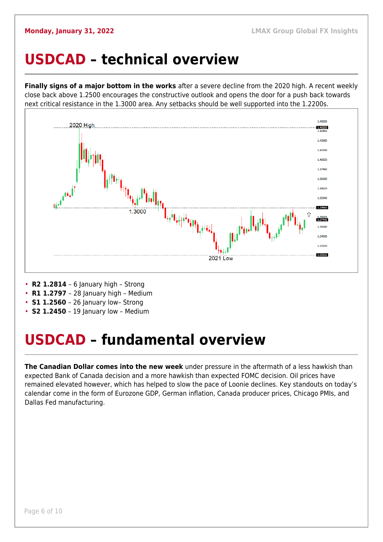#### <span id="page-5-0"></span>**USDCAD – technical overview**

**Finally signs of a major bottom in the works** after a severe decline from the 2020 high. A recent weekly close back above 1.2500 encourages the constructive outlook and opens the door for a push back towards next critical resistance in the 1.3000 area. Any setbacks should be well supported into the 1.2200s.



- **R2 1.2814**  6 January high Strong
- **R1 1.2797**  28 January high Medium
- **S1 1.2560** 26 January low- Strong
- **S2 1.2450** 19 January low Medium

### <span id="page-5-1"></span>**USDCAD – fundamental overview**

**The Canadian Dollar comes into the new week** under pressure in the aftermath of a less hawkish than expected Bank of Canada decision and a more hawkish than expected FOMC decision. Oil prices have remained elevated however, which has helped to slow the pace of Loonie declines. Key standouts on today's calendar come in the form of Eurozone GDP, German inflation, Canada producer prices, Chicago PMIs, and Dallas Fed manufacturing.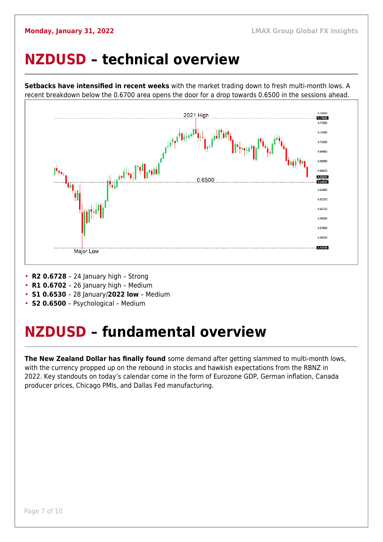### <span id="page-6-0"></span>**NZDUSD – technical overview**

**Setbacks have intensified in recent weeks** with the market trading down to fresh multi-month lows. A recent breakdown below the 0.6700 area opens the door for a drop towards 0.6500 in the sessions ahead.



- **R2 0.6728**  24 January high Strong
- **R1 0.6702**  26 January high Medium
- **S1 0.6530**  28 January/**2022 low** Medium
- **S2 0.6500**  Psychological Medium

## <span id="page-6-1"></span>**NZDUSD – fundamental overview**

**The New Zealand Dollar has finally found** some demand after getting slammed to multi-month lows, with the currency propped up on the rebound in stocks and hawkish expectations from the RBNZ in 2022. Key standouts on today's calendar come in the form of Eurozone GDP, German inflation, Canada producer prices, Chicago PMIs, and Dallas Fed manufacturing.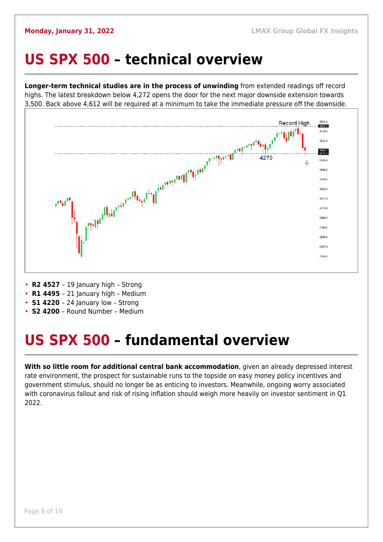#### <span id="page-7-0"></span>**US SPX 500 – technical overview**

**Longer-term technical studies are in the process of unwinding** from extended readings off record highs. The latest breakdown below 4,272 opens the door for the next major downside extension towards 3,500. Back above 4,612 will be required at a minimum to take the immediate pressure off the downside.



- **R2 4527**  19 January high Strong
- **R1 4495**  21 January high Medium
- **S1 4220**  24 January low Strong
- **S2 4200**  Round Number Medium

## <span id="page-7-1"></span>**US SPX 500 – fundamental overview**

**With so little room for additional central bank accommodation**, given an already depressed interest rate environment, the prospect for sustainable runs to the topside on easy money policy incentives and government stimulus, should no longer be as enticing to investors. Meanwhile, ongoing worry associated with coronavirus fallout and risk of rising inflation should weigh more heavily on investor sentiment in Q1 2022.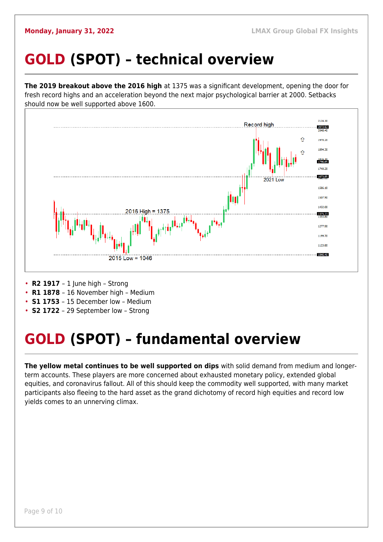## <span id="page-8-0"></span>**GOLD (SPOT) – technical overview**

**The 2019 breakout above the 2016 high** at 1375 was a significant development, opening the door for fresh record highs and an acceleration beyond the next major psychological barrier at 2000. Setbacks should now be well supported above 1600.



- **R2 1917**  1 June high Strong
- **R1 1878**  16 November high Medium
- **S1 1753**  15 December low Medium
- **S2 1722**  29 September low Strong

## <span id="page-8-1"></span>**GOLD (SPOT) – fundamental overview**

**The yellow metal continues to be well supported on dips** with solid demand from medium and longerterm accounts. These players are more concerned about exhausted monetary policy, extended global equities, and coronavirus fallout. All of this should keep the commodity well supported, with many market participants also fleeing to the hard asset as the grand dichotomy of record high equities and record low yields comes to an unnerving climax.